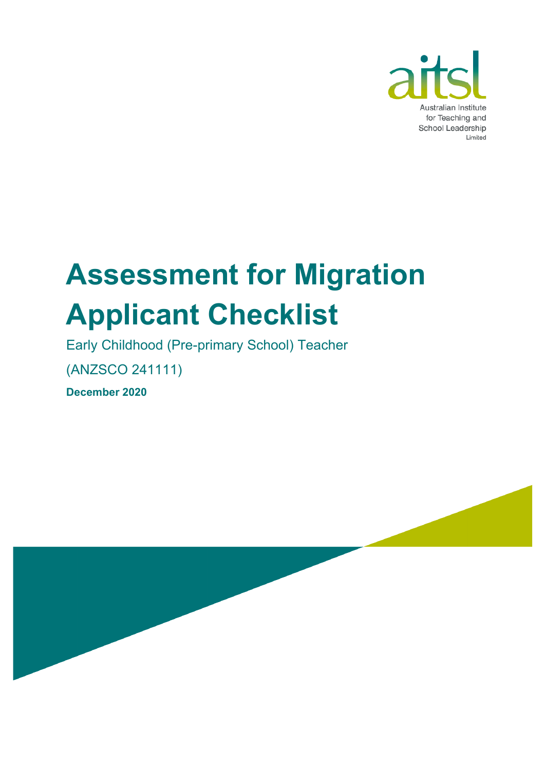

# **Assessment for Migration Applicant Checklist**

Early Childhood (Pre-primary School) Teacher

(ANZSCO 241111)

**December 2020**

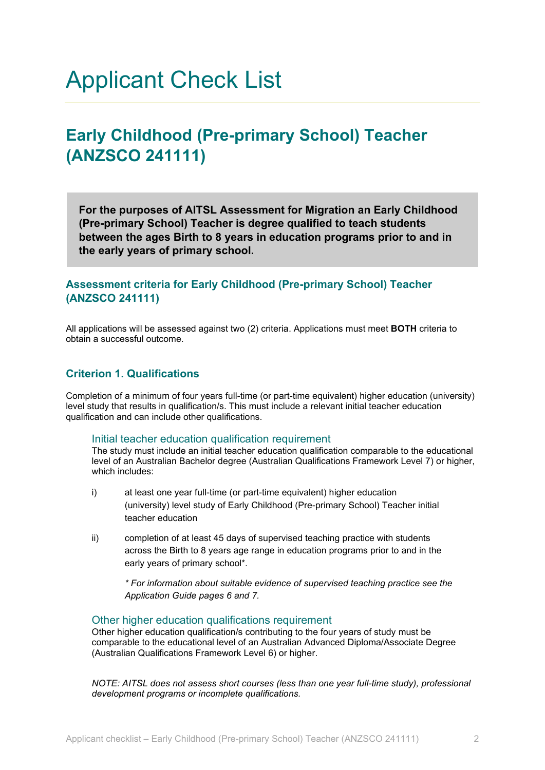### Applicant Check List

### **Early Childhood (Pre-primary School) Teacher (ANZSCO 241111)**

**For the purposes of AITSL Assessment for Migration an Early Childhood (Pre-primary School) Teacher is degree qualified to teach students between the ages Birth to 8 years in education programs prior to and in the early years of primary school.**

#### **Assessment criteria for Early Childhood (Pre-primary School) Teacher (ANZSCO 241111)**

All applications will be assessed against two (2) criteria. Applications must meet **BOTH** criteria to obtain a successful outcome.

#### **Criterion 1. Qualifications**

Completion of a minimum of four years full-time (or part-time equivalent) higher education (university) level study that results in qualification/s. This must include a relevant initial teacher education qualification and can include other qualifications.

#### Initial teacher education qualification requirement

The study must include an initial teacher education qualification comparable to the educational level of an Australian Bachelor degree (Australian Qualifications Framework Level 7) or higher, which includes:

- i) at least one year full-time (or part-time equivalent) higher education (university) level study of Early Childhood (Pre-primary School) Teacher initial teacher education
- ii) completion of at least 45 days of supervised teaching practice with students across the Birth to 8 years age range in education programs prior to and in the early years of primary school\*.

*\* For information about suitable evidence of supervised teaching practice see the Application Guide pages 6 and 7.*

#### Other higher education qualifications requirement

Other higher education qualification/s contributing to the four years of study must be comparable to the educational level of an Australian Advanced Diploma/Associate Degree (Australian Qualifications Framework Level 6) or higher.

*NOTE: AITSL does not assess short courses (less than one year full-time study), professional development programs or incomplete qualifications.*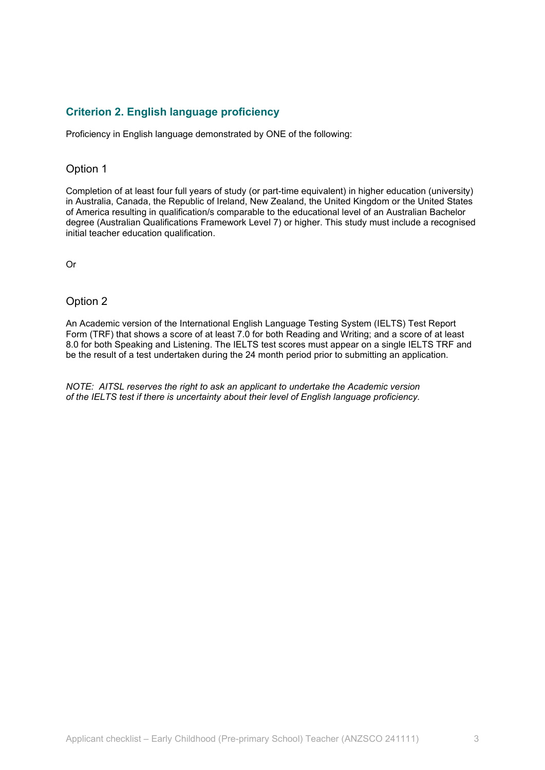#### **Criterion 2. English language proficiency**

Proficiency in English language demonstrated by ONE of the following:

#### Option 1

Completion of at least four full years of study (or part-time equivalent) in higher education (university) in Australia, Canada, the Republic of Ireland, New Zealand, the United Kingdom or the United States of America resulting in qualification/s comparable to the educational level of an Australian Bachelor degree (Australian Qualifications Framework Level 7) or higher. This study must include a recognised initial teacher education qualification.

Or

#### Option 2

An Academic version of the International English Language Testing System (IELTS) Test Report Form (TRF) that shows a score of at least 7.0 for both Reading and Writing; and a score of at least 8.0 for both Speaking and Listening. The IELTS test scores must appear on a single IELTS TRF and be the result of a test undertaken during the 24 month period prior to submitting an application.

*NOTE: AITSL reserves the right to ask an applicant to undertake the Academic version of the IELTS test if there is uncertainty about their level of English language proficiency.*